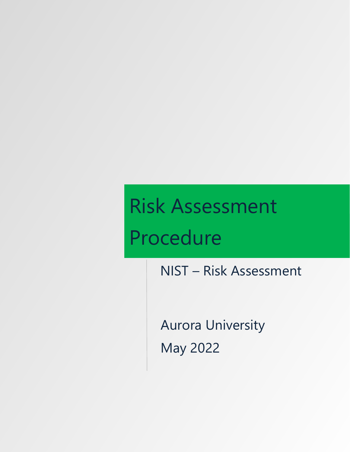# Risk Assessment Procedure

NIST – Risk Assessment

Aurora University May 2022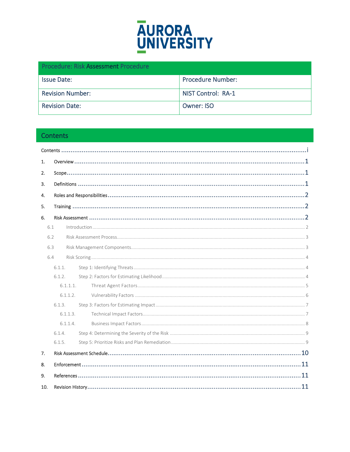

| <b>Procedure: Risk Assessment Procedure</b> |                           |  |  |
|---------------------------------------------|---------------------------|--|--|
| <b>Issue Date:</b>                          | <b>Procedure Number:</b>  |  |  |
| <b>Revision Number:</b>                     | <b>NIST Control: RA-1</b> |  |  |
| <b>Revision Date:</b>                       | Owner: ISO                |  |  |

# <span id="page-1-0"></span>Contents

| 1.  |          |  |  |  |
|-----|----------|--|--|--|
| 2.  |          |  |  |  |
| 3.  |          |  |  |  |
| 4.  |          |  |  |  |
| 5.  |          |  |  |  |
| 6.  |          |  |  |  |
| 6.1 |          |  |  |  |
| 6.2 |          |  |  |  |
| 6.3 |          |  |  |  |
| 6.4 |          |  |  |  |
|     | 6.1.1.   |  |  |  |
|     | 6.1.2.   |  |  |  |
|     | 6.1.1.1. |  |  |  |
|     | 6.1.1.2. |  |  |  |
|     | 6.1.3.   |  |  |  |
|     | 6.1.1.3. |  |  |  |
|     | 6.1.1.4. |  |  |  |
|     | 6.1.4.   |  |  |  |
|     | 6.1.5.   |  |  |  |
| 7.  |          |  |  |  |
| 8.  |          |  |  |  |
| 9.  |          |  |  |  |
| 10. |          |  |  |  |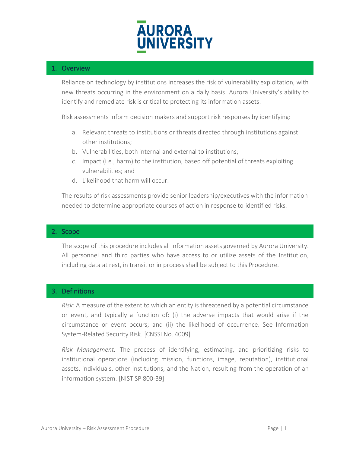

## <span id="page-2-0"></span>1. Overview

Reliance on technology by institutions increases the risk of vulnerability exploitation, with new threats occurring in the environment on a daily basis. Aurora University's ability to identify and remediate risk is critical to protecting its information assets.

Risk assessments inform decision makers and support risk responses by identifying:

- a. Relevant threats to institutions or threats directed through institutions against other institutions;
- b. Vulnerabilities, both internal and external to institutions;
- c. Impact (i.e., harm) to the institution, based off potential of threats exploiting vulnerabilities; and
- d. Likelihood that harm will occur.

The results of risk assessments provide senior leadership/executives with the information needed to determine appropriate courses of action in response to identified risks.

#### <span id="page-2-1"></span>2. Scope

The scope of this procedure includes all information assets governed by Aurora University. All personnel and third parties who have access to or utilize assets of the Institution, including data at rest, in transit or in process shall be subject to this Procedure.

## <span id="page-2-2"></span>3. Definitions

*Risk:* A measure of the extent to which an entity is threatened by a potential circumstance or event, and typically a function of: (i) the adverse impacts that would arise if the circumstance or event occurs; and (ii) the likelihood of occurrence. See Information System-Related Security Risk. [CNSSI No. 4009]

*Risk Management:* The process of identifying, estimating, and prioritizing risks to institutional operations (including mission, functions, image, reputation), institutional assets, individuals, other institutions, and the Nation, resulting from the operation of an information system. [NIST SP 800-39]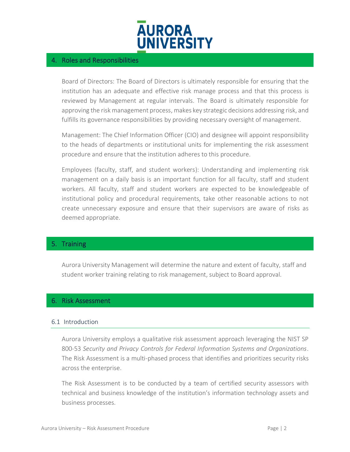

## <span id="page-3-0"></span>4. Roles and Responsibilities

Board of Directors: The Board of Directors is ultimately responsible for ensuring that the institution has an adequate and effective risk manage process and that this process is reviewed by Management at regular intervals. The Board is ultimately responsible for approving the risk management process, makes key strategic decisions addressing risk, and fulfills its governance responsibilities by providing necessary oversight of management.

Management: The Chief Information Officer (CIO) and designee will appoint responsibility to the heads of departments or institutional units for implementing the risk assessment procedure and ensure that the institution adheres to this procedure.

Employees (faculty, staff, and student workers): Understanding and implementing risk management on a daily basis is an important function for all faculty, staff and student workers. All faculty, staff and student workers are expected to be knowledgeable of institutional policy and procedural requirements, take other reasonable actions to not create unnecessary exposure and ensure that their supervisors are aware of risks as deemed appropriate.

## <span id="page-3-1"></span>5. Training

Aurora University Management will determine the nature and extent of faculty, staff and student worker training relating to risk management, subject to Board approval.

#### <span id="page-3-2"></span>6. Risk Assessment

#### <span id="page-3-3"></span>6.1 Introduction

Aurora University employs a qualitative risk assessment approach leveraging the NIST SP 800-53 *Security and Privacy Controls for Federal Information Systems and Organizations*. The Risk Assessment is a multi-phased process that identifies and prioritizes security risks across the enterprise.

The Risk Assessment is to be conducted by a team of certified security assessors with technical and business knowledge of the institution's information technology assets and business processes.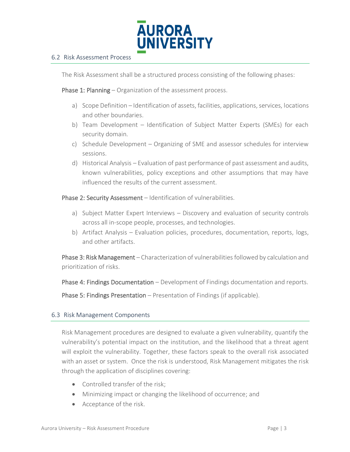

#### <span id="page-4-0"></span>6.2 Risk Assessment Process

The Risk Assessment shall be a structured process consisting of the following phases:

Phase 1: Planning – Organization of the assessment process.

- a) Scope Definition Identification of assets, facilities, applications, services, locations and other boundaries.
- b) Team Development Identification of Subject Matter Experts (SMEs) for each security domain.
- c) Schedule Development Organizing of SME and assessor schedules for interview sessions.
- d) Historical Analysis Evaluation of past performance of past assessment and audits, known vulnerabilities, policy exceptions and other assumptions that may have influenced the results of the current assessment.

Phase 2: Security Assessment - Identification of vulnerabilities.

- a) Subject Matter Expert Interviews Discovery and evaluation of security controls across all in-scope people, processes, and technologies.
- b) Artifact Analysis Evaluation policies, procedures, documentation, reports, logs, and other artifacts.

Phase 3: Risk Management – Characterization of vulnerabilities followed by calculation and prioritization of risks.

Phase 4: Findings Documentation - Development of Findings documentation and reports.

Phase 5: Findings Presentation – Presentation of Findings (if applicable).

#### <span id="page-4-1"></span>6.3 Risk Management Components

Risk Management procedures are designed to evaluate a given vulnerability, quantify the vulnerability's potential impact on the institution, and the likelihood that a threat agent will exploit the vulnerability. Together, these factors speak to the overall risk associated with an asset or system. Once the risk is understood, Risk Management mitigates the risk through the application of disciplines covering:

- Controlled transfer of the risk;
- Minimizing impact or changing the likelihood of occurrence; and
- Acceptance of the risk.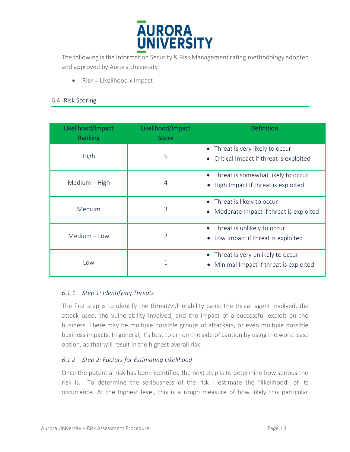

The following is the Information Security & Risk Management rating methodology adopted and approved by Aurora University:

• Risk = Likelihood x Impact

## <span id="page-5-0"></span>6.4 Risk Scoring

| Likelihood/Impact<br>Ranking | Likelihood/Impact<br><b>Score</b> | <b>Definition</b>                                                                      |
|------------------------------|-----------------------------------|----------------------------------------------------------------------------------------|
| High                         | 5                                 | Threat is very likely to occur<br>Critical Impact if threat is exploited               |
| Medium - High                | 4                                 | Threat is somewhat likely to occur<br>High Impact if threat is exploited<br>$\bullet$  |
| Medium                       | 3                                 | Threat is likely to occur<br>Moderate Impact if threat is exploited                    |
| Medium - Low                 | 2                                 | Threat is unlikely to occur<br>Low Impact if threat is exploited<br>$\bullet$          |
| Low                          |                                   | Threat is very unlikely to occur<br>Minimal Impact if threat is exploited<br>$\bullet$ |

## <span id="page-5-1"></span>*6.1.1. Step 1: Identifying Threats*

The first step is to identify the threat/vulnerability pairs: the threat agent involved, the attack used, the vulnerability involved, and the impact of a successful exploit on the business. There may be multiple possible groups of attackers, or even multiple possible business impacts. In general, it's best to err on the side of caution by using the worst-case option, as that will result in the highest overall risk.

## <span id="page-5-2"></span>*6.1.2. Step 2: Factors for Estimating Likelihood*

Once the potential risk has been identified the next step is to determine how serious the risk is. To determine the seriousness of the risk - estimate the "likelihood" of its occurrence. At the highest level, this is a rough measure of how likely this particular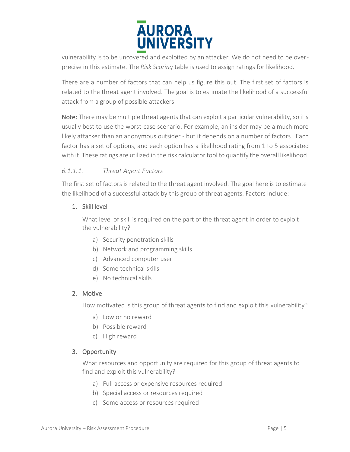

vulnerability is to be uncovered and exploited by an attacker. We do not need to be overprecise in this estimate. The *Risk Scoring* table is used to assign ratings for likelihood.

There are a number of factors that can help us figure this out. The first set of factors is related to the threat agent involved. The goal is to estimate the likelihood of a successful attack from a group of possible attackers.

Note: There may be multiple threat agents that can exploit a particular vulnerability, so it's usually best to use the worst-case scenario. For example, an insider may be a much more likely attacker than an anonymous outsider - but it depends on a number of factors. Each factor has a set of options, and each option has a likelihood rating from 1 to 5 associated with it. These ratings are utilized in the risk calculator tool to quantify the overall likelihood.

# <span id="page-6-0"></span>*6.1.1.1. Threat Agent Factors*

The first set of factors is related to the threat agent involved. The goal here is to estimate the likelihood of a successful attack by this group of threat agents. Factors include:

# 1. Skill level

What level of skill is required on the part of the threat agent in order to exploit the vulnerability?

- a) Security penetration skills
- b) Network and programming skills
- c) Advanced computer user
- d) Some technical skills
- e) No technical skills

# 2. Motive

How motivated is this group of threat agents to find and exploit this vulnerability?

- a) Low or no reward
- b) Possible reward
- c) High reward

# 3. Opportunity

What resources and opportunity are required for this group of threat agents to find and exploit this vulnerability?

- a) Full access or expensive resources required
- b) Special access or resources required
- c) Some access or resources required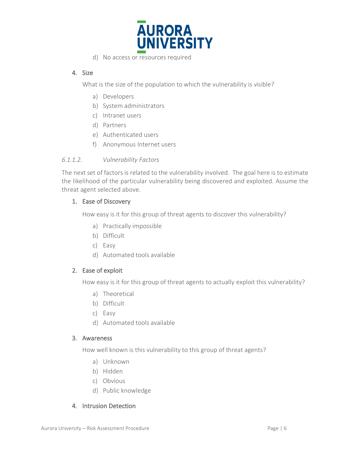

d) No access or resources required

## 4. Size

What is the size of the population to which the vulnerability is visible?

- a) Developers
- b) System administrators
- c) Intranet users
- d) Partners
- e) Authenticated users
- f) Anonymous Internet users

#### <span id="page-7-0"></span>*6.1.1.2. Vulnerability Factors*

The next set of factors is related to the vulnerability involved. The goal here is to estimate the likelihood of the particular vulnerability being discovered and exploited. Assume the threat agent selected above.

## 1. Ease of Discovery

How easy is it for this group of threat agents to discover this vulnerability?

- a) Practically impossible
- b) Difficult
- c) Easy
- d) Automated tools available

#### 2. Ease of exploit

How easy is it for this group of threat agents to actually exploit this vulnerability?

- a) Theoretical
- b) Difficult
- c) Easy
- d) Automated tools available

#### 3. Awareness

How well known is this vulnerability to this group of threat agents?

- a) Unknown
- b) Hidden
- c) Obvious
- d) Public knowledge

## 4. Intrusion Detection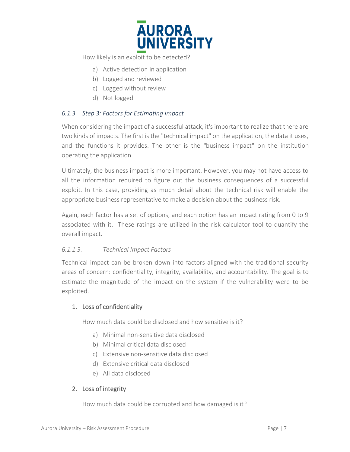

How likely is an exploit to be detected?

- a) Active detection in application
- b) Logged and reviewed
- c) Logged without review
- d) Not logged

#### <span id="page-8-0"></span>*6.1.3. Step 3: Factors for Estimating Impact*

When considering the impact of a successful attack, it's important to realize that there are two kinds of impacts. The first is the "technical impact" on the application, the data it uses, and the functions it provides. The other is the "business impact" on the institution operating the application.

Ultimately, the business impact is more important. However, you may not have access to all the information required to figure out the business consequences of a successful exploit. In this case, providing as much detail about the technical risk will enable the appropriate business representative to make a decision about the business risk.

Again, each factor has a set of options, and each option has an impact rating from 0 to 9 associated with it. These ratings are utilized in the risk calculator tool to quantify the overall impact.

#### <span id="page-8-1"></span>*6.1.1.3. Technical Impact Factors*

Technical impact can be broken down into factors aligned with the traditional security areas of concern: confidentiality, integrity, availability, and accountability. The goal is to estimate the magnitude of the impact on the system if the vulnerability were to be exploited.

## 1. Loss of confidentiality

How much data could be disclosed and how sensitive is it?

- a) Minimal non-sensitive data disclosed
- b) Minimal critical data disclosed
- c) Extensive non-sensitive data disclosed
- d) Extensive critical data disclosed
- e) All data disclosed

## 2. Loss of integrity

How much data could be corrupted and how damaged is it?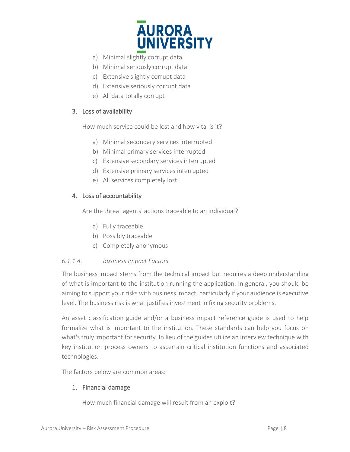

- a) Minimal slightly corrupt data
- b) Minimal seriously corrupt data
- c) Extensive slightly corrupt data
- d) Extensive seriously corrupt data
- e) All data totally corrupt

## 3. Loss of availability

How much service could be lost and how vital is it?

- a) Minimal secondary services interrupted
- b) Minimal primary services interrupted
- c) Extensive secondary services interrupted
- d) Extensive primary services interrupted
- e) All services completely lost

## 4. Loss of accountability

Are the threat agents' actions traceable to an individual?

- a) Fully traceable
- b) Possibly traceable
- c) Completely anonymous

## <span id="page-9-0"></span>*6.1.1.4. Business Impact Factors*

The business impact stems from the technical impact but requires a deep understanding of what is important to the institution running the application. In general, you should be aiming to support your risks with business impact, particularly if your audience is executive level. The business risk is what justifies investment in fixing security problems.

An asset classification guide and/or a business impact reference guide is used to help formalize what is important to the institution. These standards can help you focus on what's truly important for security. In lieu of the guides utilize an interview technique with key institution process owners to ascertain critical institution functions and associated technologies.

The factors below are common areas:

# 1. Financial damage

How much financial damage will result from an exploit?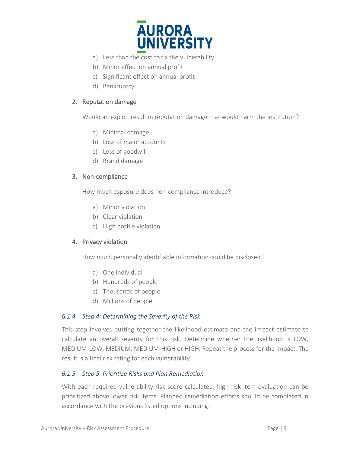

- a) Less than the cost to fix the vulnerability
- b) Minor effect on annual profit
- c) Significant effect on annual profit
- d) Bankruptcy

#### 2. Reputation damage

Would an exploit result in reputation damage that would harm the institution?

- a) Minimal damage
- b) Loss of major accounts
- c) Loss of goodwill
- d) Brand damage

#### 3. Non-compliance

How much exposure does non-compliance introduce?

- a) Minor violation
- b) Clear violation
- c) High profile violation

## 4. Privacy violation

How much personally identifiable information could be disclosed?

- a) One individual
- b) Hundreds of people
- c) Thousands of people
- d) Millions of people

## <span id="page-10-0"></span>*6.1.4. Step 4: Determining the Severity of the Risk*

This step involves putting together the likelihood estimate and the impact estimate to calculate an overall severity for this risk. Determine whether the likelihood is LOW, MEDIUM-LOW, MEDIUM, MEDIUM-HIGH or HIGH. Repeat the process for the impact. The result is a final risk rating for each vulnerability.

## <span id="page-10-1"></span>*6.1.5. Step 5: Prioritize Risks and Plan Remediation*

With each required vulnerability risk score calculated, high risk item evaluation can be prioritized above lower risk items. Planned remediation efforts should be completed in accordance with the previous listed options including: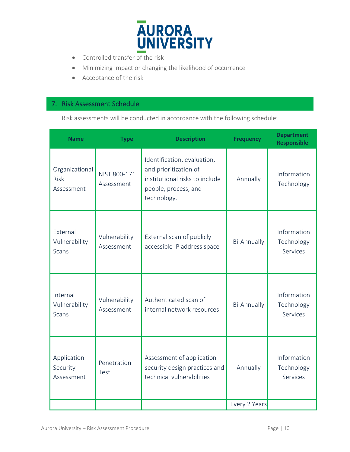

- Controlled transfer of the risk
- Minimizing impact or changing the likelihood of occurrence
- Acceptance of the risk

# <span id="page-11-0"></span>7. Risk Assessment Schedule

Risk assessments will be conducted in accordance with the following schedule:

| <b>Name</b>                               | <b>Type</b>                 | <b>Description</b>                                                                                                            | <b>Frequency</b> | <b>Department</b><br><b>Responsible</b> |
|-------------------------------------------|-----------------------------|-------------------------------------------------------------------------------------------------------------------------------|------------------|-----------------------------------------|
| Organizational<br>Risk<br>Assessment      | NIST 800-171<br>Assessment  | Identification, evaluation,<br>and prioritization of<br>institutional risks to include<br>people, process, and<br>technology. | Annually         | Information<br>Technology               |
| External<br>Vulnerability<br><b>Scans</b> | Vulnerability<br>Assessment | External scan of publicly<br>accessible IP address space                                                                      | Bi-Annually      | Information<br>Technology<br>Services   |
| Internal<br>Vulnerability<br><b>Scans</b> | Vulnerability<br>Assessment | Authenticated scan of<br>internal network resources                                                                           | Bi-Annually      | Information<br>Technology<br>Services   |
| Application<br>Security<br>Assessment     | Penetration<br>Test         | Assessment of application<br>security design practices and<br>technical vulnerabilities                                       | Annually         | Information<br>Technology<br>Services   |
|                                           |                             |                                                                                                                               | Every 2 Years    |                                         |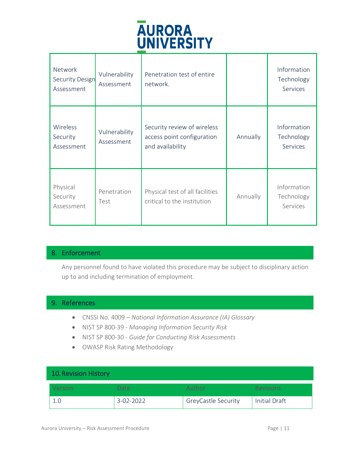

| <b>Network</b><br>Security Design<br>Assessment | Vulnerability<br>Assessment | Penetration test of entire<br>network.                                        |          | Information<br>Technology<br>Services |
|-------------------------------------------------|-----------------------------|-------------------------------------------------------------------------------|----------|---------------------------------------|
| Wireless<br>Security<br>Assessment              | Vulnerability<br>Assessment | Security review of wireless<br>access point configuration<br>and availability | Annually | Information<br>Technology<br>Services |
| Physical<br>Security<br>Assessment              | Penetration<br>Test         | Physical test of all facilities<br>critical to the institution                | Annually | Information<br>Technology<br>Services |

# <span id="page-12-0"></span>8. Enforcement

Any personnel found to have violated this procedure may be subject to disciplinary action up to and including termination of employment.

# <span id="page-12-1"></span>9. References

- CNSSI No. 4009 *National Information Assurance (IA) Glossary*
- NIST SP 800-39 *Managing Information Security Risk*
- NIST SP 800-30 *Guide for Conducting Risk Assessments*
- OWASP Risk Rating Methodology

# <span id="page-12-2"></span>10.Revision History

| <b>Version</b> | Date:     | Author                     | <b>Revisions</b> |
|----------------|-----------|----------------------------|------------------|
| 1.0            | 3-02-2022 | <b>GreyCastle Security</b> | Initial Draft    |